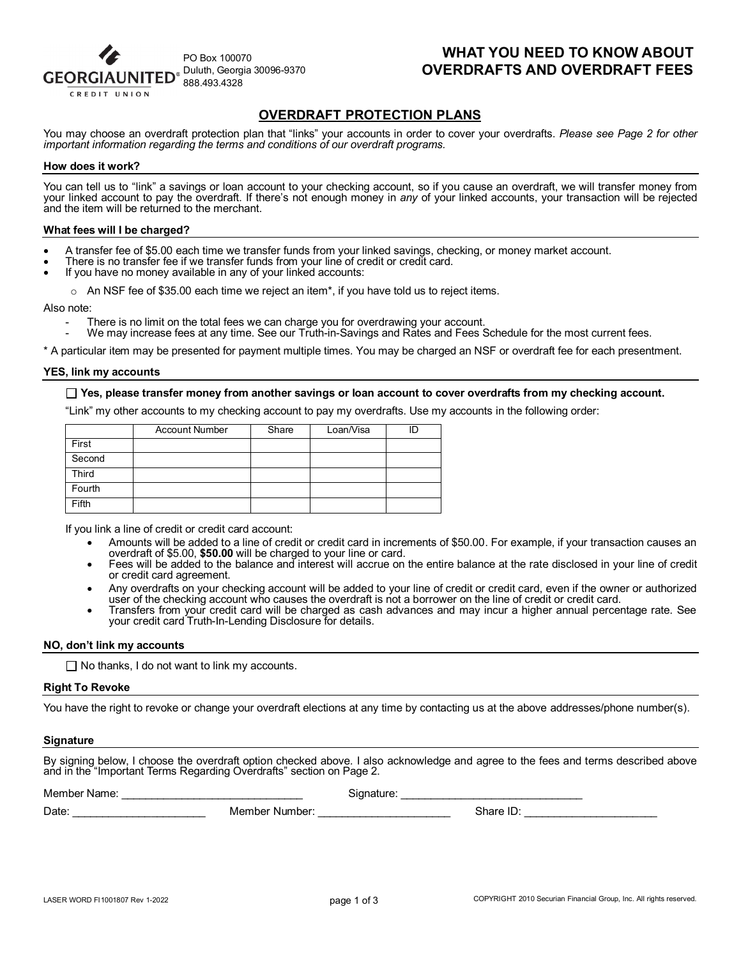

# **WHAT YOU NEED TO KNOW ABOUT OVERDRAFTS AND OVERDRAFT FEES**

# **OVERDRAFT PROTECTION PLANS**

You may choose an overdraft protection plan that "links" your accounts in order to cover your overdrafts. *Please see Page 2 for other important information regarding the terms and conditions of our overdraft programs.*

#### **How does it work?**

You can tell us to "link" a savings or loan account to your checking account, so if you cause an overdraft, we will transfer money from your linked account to pay the overdraft. If there's not enough money in *any* of your linked accounts, your transaction will be rejected and the item will be returned to the merchant.

#### **What fees will I be charged?**

- A transfer fee of \$5.00 each time we transfer funds from your linked savings, checking, or money market account.<br>There is no transfer fee if we transfer funds from your line of credit or credit card.<br>If you have no money a
- 
- 

 $\circ$  An NSF fee of \$35.00 each time we reject an item<sup>\*</sup>, if you have told us to reject items.

Also note:

There is no limit on the total fees we can charge you for overdrawing your account.<br>We may increase fees at any time. See our Truth-in-Savings and Rates and Fees Schedule for the most current fees.

\* A particular item may be presented for payment multiple times. You may be charged an NSF or overdraft fee for each presentment.

#### **YES, link my accounts**

#### **Yes, please transfer money from another savings or loan account to cover overdrafts from my checking account.**

"Link" my other accounts to my checking account to pay my overdrafts. Use my accounts in the following order:

|              | <b>Account Number</b> | Share | Loan/Visa |  |
|--------------|-----------------------|-------|-----------|--|
| First        |                       |       |           |  |
| Second       |                       |       |           |  |
| <b>Third</b> |                       |       |           |  |
| Fourth       |                       |       |           |  |
| <b>Fifth</b> |                       |       |           |  |

If you link a line of credit or credit card account:

- Amounts will be added to a line of credit or credit card in increments of \$50.00. For example, if your transaction causes an overdraft of \$5.00, \$50.00 will be charged to your line or card.
- Fees will be added to the balance and interest will accrue on the entire balance at the rate disclosed in your line of credit or credit card agreement.
- Any overdrafts on your checking account will be added to your line of credit or credit card, even if the owner or authorized user of the checking account who causes the overdraft is not a borrower on the line of credit or
- Transfers from your credit card will be charged as cash advances and may incur a higher annual percentage rate. See your credit card Truth-In-Lending Disclosure for details.

#### **NO, don't link my accounts**

 $\Box$  No thanks, I do not want to link my accounts.

#### **Right To Revoke**

You have the right to revoke or change your overdraft elections at any time by contacting us at the above addresses/phone number(s).

#### **Signature**

By signing below, I choose the overdraft option checked above. I also acknowledge and agree to the fees and terms described above and in the "Important Terms Regarding Overdrafts" section on Page 2.

| Memb<br>INAM <sup></sup><br>ne |                           | -     |  |
|--------------------------------|---------------------------|-------|--|
| Date                           | ember<br>Number:<br>- Mer | Share |  |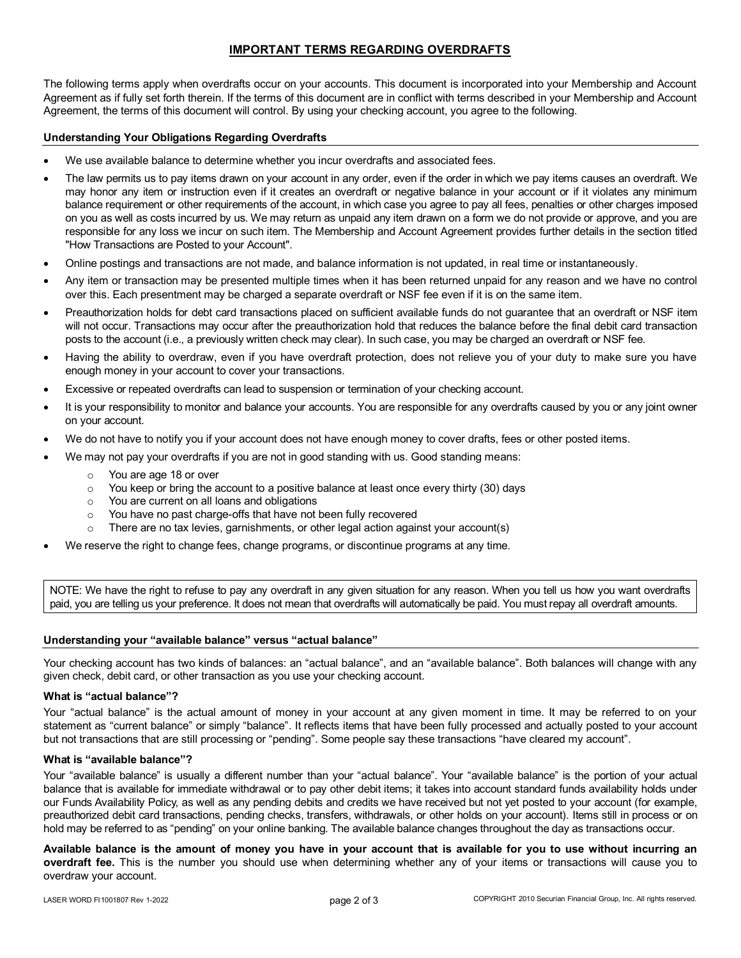## **IMPORTANT TERMS REGARDING OVERDRAFTS**

The following terms apply when overdrafts occur on your accounts. This document is incorporated into your Membership and Account Agreement as if fully set forth therein. If the terms of this document are in conflict with terms described in your Membership and Account Agreement, the terms of this document will control. By using your checking account, you agree to the following.

## **Understanding Your Obligations Regarding Overdrafts**

- We use available balance to determine whether you incur overdrafts and associated fees.
- The law permits us to pay items drawn on your account in any order, even if the order in which we pay items causes an overdraft. We may honor any item or instruction even if it creates an overdraft or negative balance in your account or if it violates any minimum balance requirement or other requirements of the account, in which case you agree to pay all fees, penalties or other charges imposed on you as well as costs incurred by us. We may return as unpaid any item drawn on a form we do not provide or approve, and you are responsible for any loss we incur on such item. The Membership and Account Agreement provides further details in the section titled "How Transactions are Posted to your Account".
- Online postings and transactions are not made, and balance information is not updated, in real time or instantaneously.
- Any item or transaction may be presented multiple times when it has been returned unpaid for any reason and we have no control over this. Each presentment may be charged a separate overdraft or NSF fee even if it is on the same item.
- Preauthorization holds for debt card transactions placed on sufficient available funds do not guarantee that an overdraft or NSF item will not occur. Transactions may occur after the preauthorization hold that reduces the balance before the final debit card transaction posts to the account (i.e., a previously written check may clear). In such case, you may be charged an overdraft or NSF fee.
- Having the ability to overdraw, even if you have overdraft protection, does not relieve you of your duty to make sure you have enough money in your account to cover your transactions.
- Excessive or repeated overdrafts can lead to suspension or termination of your checking account.
- It is your responsibility to monitor and balance your accounts. You are responsible for any overdrafts caused by you or any joint owner on your account.
- We do not have to notify you if your account does not have enough money to cover drafts, fees or other posted items.
- We may not pay your overdrafts if you are not in good standing with us. Good standing means:
	- You are age 18 or over
	- $\circ$  You keep or bring the account to a positive balance at least once every thirty (30) days
	- o You are current on all loans and obligations
	- o You have no past charge-offs that have not been fully recovered
	- $\circ$  There are no tax levies, garnishments, or other legal action against your account(s)
- We reserve the right to change fees, change programs, or discontinue programs at any time.

NOTE: We have the right to refuse to pay any overdraft in any given situation for any reason. When you tell us how you want overdrafts paid, you are telling us your preference. It does not mean that overdrafts will automatically be paid. You must repay all overdraft amounts.

## **Understanding your "available balance" versus "actual balance"**

Your checking account has two kinds of balances: an "actual balance", and an "available balance". Both balances will change with any given check, debit card, or other transaction as you use your checking account.

## **What is "actual balance"?**

Your "actual balance" is the actual amount of money in your account at any given moment in time. It may be referred to on your statement as "current balance" or simply "balance". It reflects items that have been fully processed and actually posted to your account but not transactions that are still processing or "pending". Some people say these transactions "have cleared my account".

## **What is "available balance"?**

Your "available balance" is usually a different number than your "actual balance". Your "available balance" is the portion of your actual balance that is available for immediate withdrawal or to pay other debit items; it takes into account standard funds availability holds under our Funds Availability Policy, as well as any pending debits and credits we have received but not yet posted to your account (for example, preauthorized debit card transactions, pending checks, transfers, withdrawals, or other holds on your account). Items still in process or on hold may be referred to as "pending" on your online banking. The available balance changes throughout the day as transactions occur.

**Available balance is the amount of money you have in your account that is available for you to use without incurring an overdraft fee.** This is the number you should use when determining whether any of your items or transactions will cause you to overdraw your account.